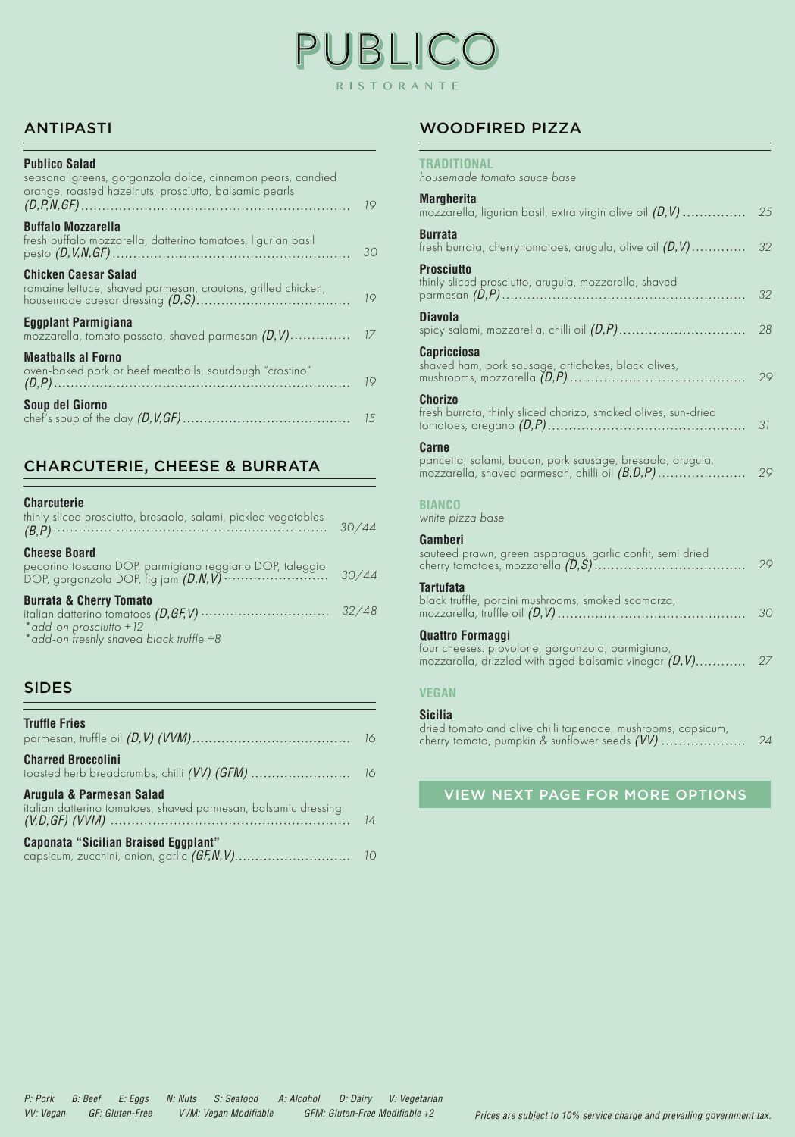## BLIC RISTORANTE

#### ANTIPASTI

| <b>Publico Salad</b><br>seasonal greens, gorgonzola dolce, cinnamon pears, candied<br>orange, roasted hazelnuts, prosciutto, balsamic pearls | 19  |
|----------------------------------------------------------------------------------------------------------------------------------------------|-----|
| <b>Buffalo Mozzarella</b><br>fresh buffalo mozzarella, datterino tomatoes, ligurian basil                                                    | 30  |
| <b>Chicken Caesar Salad</b><br>romaine lettuce, shaved parmesan, croutons, grilled chicken,                                                  | 19  |
| Eggplant Parmigiana<br>mozzarella, tomato passata, shaved parmesan $(D, V)$                                                                  | 17  |
| <b>Meatballs al Forno</b><br>oven-baked pork or beef meatballs, sourdough "crostino"                                                         | 19  |
| Soup del Giorno                                                                                                                              | 1.5 |

#### CHARCUTERIE, CHEESE & BURRATA

#### **Charcuterie**

| thinly sliced prosciutto, bresaola, salami, pickled vegetables                                                                                       | 30/44 |
|------------------------------------------------------------------------------------------------------------------------------------------------------|-------|
| <b>Cheese Board</b><br>pecorino toscano DOP, parmigiano reggiano DOP, taleggio<br>DOP, gorgonzola DOP, fig jam $(D, N, V)$ ························· | 30/44 |
| <b>Burrata &amp; Cherry Tomato</b><br>*add-on prosciutto +12<br>*add-on freshly shaved black truffle +8                                              |       |

#### SIDES

| <b>Truffle Fries</b>                                                                       |  |
|--------------------------------------------------------------------------------------------|--|
| <b>Charred Broccolini</b>                                                                  |  |
| Arugula & Parmesan Salad<br>italian datterino tomatoes, shaved parmesan, balsamic dressing |  |
| <b>Caponata "Sicilian Braised Eggplant"</b>                                                |  |

#### WOODFIRED PIZZA

| <b>TRADITIONAL</b><br>housemade tomato sauce base                                                                                     |    |
|---------------------------------------------------------------------------------------------------------------------------------------|----|
| <b>Margherita</b><br>mozzarella, ligurian basil, extra virgin olive oil $(D, V)$                                                      | 25 |
| <b>Burrata</b><br>fresh burrata, cherry tomatoes, arugula, olive oil $(D, V)$                                                         | 32 |
| <b>Prosciutto</b><br>thinly sliced prosciutto, arugula, mozzarella, shaved                                                            | 32 |
| <b>Diavola</b>                                                                                                                        | 28 |
| <b>Capricciosa</b><br>shaved ham, pork sausage, artichokes, black olives,                                                             | 29 |
| <b>Chorizo</b><br>fresh burrata, thinly sliced chorizo, smoked olives, sun-dried                                                      | 31 |
| Carne<br>pancetta, salami, bacon, pork sausage, bresaola, arugula,<br>mozzarella, shaved parmesan, chilli oil $(B, D, P)$             | 29 |
| <b>BIANCO</b><br>white pizza base                                                                                                     |    |
| Gamberi<br>sauteed prawn, green asparagus, garlic confit, semi dried                                                                  | 29 |
| <b>Tartufata</b><br>black truffle, porcini mushrooms, smoked scamorza,                                                                | 30 |
| <b>Quattro Formaggi</b><br>four cheeses: provolone, gorgonzola, parmigiano,<br>mozzarella, drizzled with aged balsamic vinegar (D, V) | 27 |
| <b>VEGAN</b>                                                                                                                          |    |
| <b>Sicilia</b>                                                                                                                        |    |

dried tomato and olive chilli tapenade, mushrooms, capsicum, cherry tomato, pumpkin & sunflower seeds *(VV) 24*

VIEW NEXT PAGE FOR MORE OPTIONS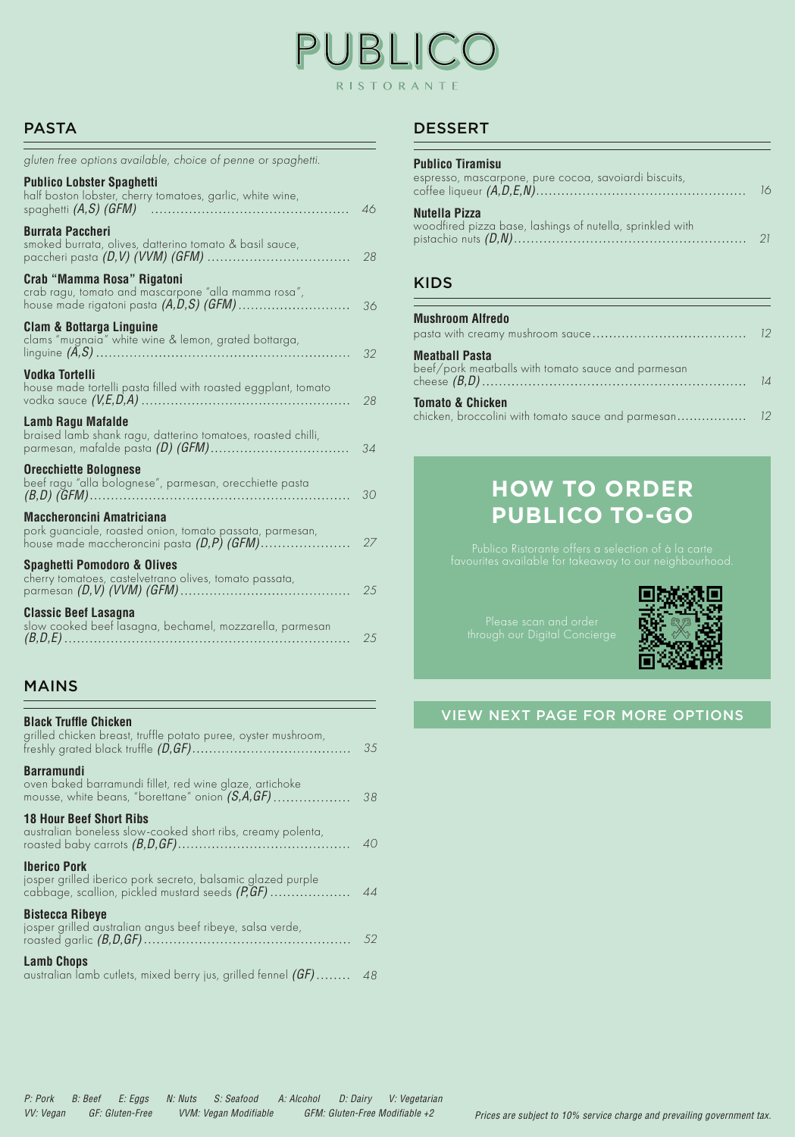# BLIC RISTORANTE

#### PASTA

| gluten free options available, choice of penne or spaghetti.                                                                            |    |
|-----------------------------------------------------------------------------------------------------------------------------------------|----|
| <b>Publico Lobster Spaghetti</b><br>half boston lobster, cherry tomatoes, garlic, white wine,                                           | 46 |
| <b>Burrata Paccheri</b><br>smoked burrata, olives, datterino tomato & basil sauce,<br>paccheri pasta <i>(D,V) (VVM) (GFM) </i>          | 28 |
| Crab "Mamma Rosa" Rigatoni<br>crab ragu, tomato and mascarpone "alla mamma rosa",<br>house made rigatoni pasta <i>(A,D,S) (GFM)</i>     | 36 |
| Clam & Bottarga Linguine<br>clams "mugnaia" white wine & lemon, grated bottarga,                                                        | 32 |
| Vodka Tortelli<br>house made tortelli pasta filled with roasted eggplant, tomato                                                        | 28 |
| Lamb Ragu Mafalde<br>braised lamb shank ragu, datterino tomatoes, roasted chilli,<br>parmesan, mafalde pasta <i>(D) (GFM)</i>           | 34 |
| <b>Orecchiette Bolognese</b><br>beef ragu "alla bolognese", parmesan, orecchiette pasta                                                 | 30 |
| Maccheroncini Amatriciana<br>pork guanciale, roasted onion, tomato passata, parmesan,<br>house made maccheroncini pasta $(D,P)$ $(GFM)$ | 27 |
| Spaghetti Pomodoro & Olives<br>cherry tomatoes, castelvetrano olives, tomato passata,                                                   | 25 |
| <b>Classic Beef Lasagna</b><br>slow cooked beef lasagna, bechamel, mozzarella, parmesan                                                 | 25 |

### MAINS

| <b>Black Truffle Chicken</b><br>grilled chicken breast, truffle potato puree, oyster mushroom,                                           | 35  |
|------------------------------------------------------------------------------------------------------------------------------------------|-----|
| Barramundi<br>oven baked barramundi fillet, red wine glaze, artichoke<br>mousse, white beans, "borettane" onion $(S, A, GF)$             | 38  |
| <b>18 Hour Beef Short Ribs</b><br>australian boneless slow-cooked short ribs, creamy polenta,                                            | 40  |
| <b>Iberico Pork</b><br>josper grilled iberico pork secreto, balsamic glazed purple<br>cabbage, scallion, pickled mustard seeds $(P, GF)$ | 44  |
| <b>Bistecca Ribeye</b><br>josper grilled australian angus beef ribeye, salsa verde,                                                      | .52 |
| <b>Lamb Chops</b><br>australian lamb cutlets, mixed berry jus, grilled fennel $(GF)$ 48                                                  |     |

#### DESSERT

| <b>Publico Tiramisu</b>                                                    |     |
|----------------------------------------------------------------------------|-----|
| espresso, mascarpone, pure cocoa, savoiardi biscuits,                      | IK. |
| Nutella Pizza<br>woodfired pizza base, lashings of nutella, sprinkled with |     |

#### KIDS

| <b>Mushroom Alfredo</b>                                                     |  |
|-----------------------------------------------------------------------------|--|
| <b>Meathall Pasta</b><br>beef/pork meatballs with tomato sauce and parmesan |  |
| <b>Tomato &amp; Chicken</b>                                                 |  |

### **HOW TO ORDER PUBLICO TO-GO**



#### VIEW NEXT PAGE FOR MORE OPTIONS